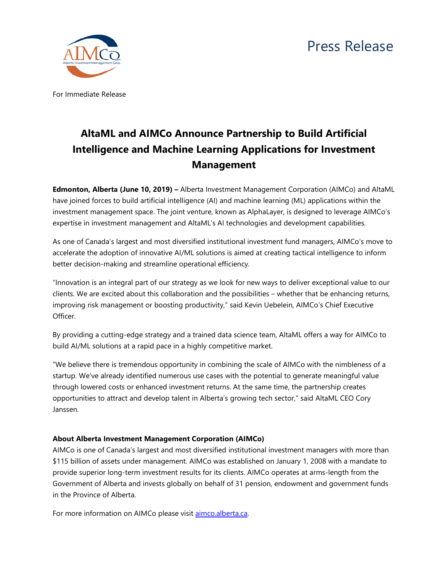# Press Release



For Immediate Release

# **AltaML and AIMCo Announce Partnership to Build Artificial Intelligence and Machine Learning Applications for Investment Management**

**Edmonton, Alberta (June 10, 2019) –** Alberta Investment Management Corporation (AIMCo) and AltaML have joined forces to build artificial intelligence (AI) and machine learning (ML) applications within the investment management space. The joint venture, known as AlphaLayer, is designed to leverage AIMCo's expertise in investment management and AltaML's AI technologies and development capabilities.

As one of Canada's largest and most diversified institutional investment fund managers, AIMCo's move to accelerate the adoption of innovative AI/ML solutions is aimed at creating tactical intelligence to inform better decision-making and streamline operational efficiency.

"Innovation is an integral part of our strategy as we look for new ways to deliver exceptional value to our clients. We are excited about this collaboration and the possibilities – whether that be enhancing returns, improving risk management or boosting productivity," said Kevin Uebelein, AIMCo's Chief Executive Officer.

By providing a cutting-edge strategy and a trained data science team, AltaML offers a way for AIMCo to build AI/ML solutions at a rapid pace in a highly competitive market.

"We believe there is tremendous opportunity in combining the scale of AIMCo with the nimbleness of a startup. We've already identified numerous use cases with the potential to generate meaningful value through lowered costs or enhanced investment returns. At the same time, the partnership creates opportunities to attract and develop talent in Alberta's growing tech sector," said AltaML CEO Cory Janssen.

## **About Alberta Investment Management Corporation (AIMCo)**

AIMCo is one of Canada's largest and most diversified institutional investment managers with more than \$115 billion of assets under management. AIMCo was established on January 1, 2008 with a mandate to provide superior long-term investment results for its clients. AIMCo operates at arms-length from the Government of Alberta and invests globally on behalf of 31 pension, endowment and government funds in the Province of Alberta.

For more information on AIMCo please visit *aimco.alberta.ca.*